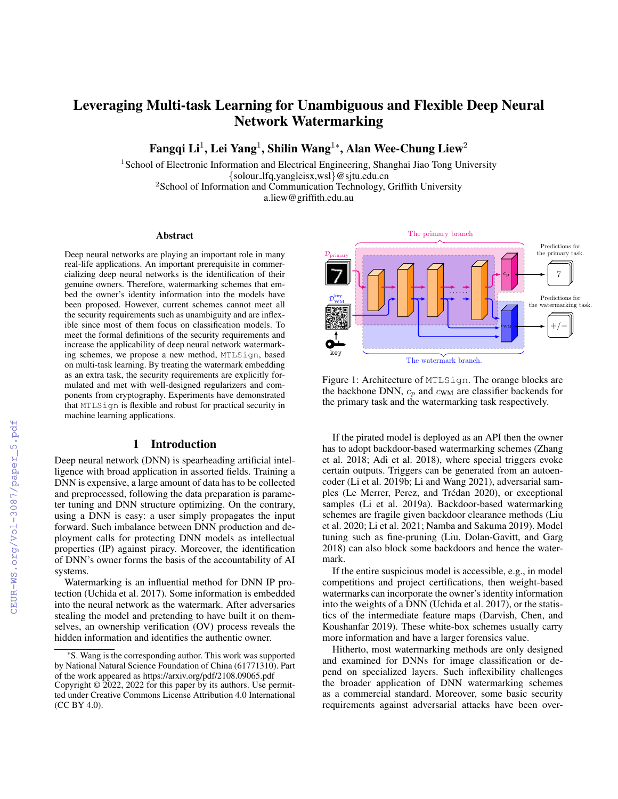# Leveraging Multi-task Learning for Unambiguous and Flexible Deep Neural Network Watermarking

Fangqi Li $^1$ , Lei Yang $^1$ , Shilin Wang $^{1*}$ , Alan Wee-Chung Liew $^2$ 

<sup>1</sup> School of Electronic Information and Electrical Engineering, Shanghai Jiao Tong University {solour lfq,yangleisx,wsl}@sjtu.edu.cn <sup>2</sup>School of Information and Communication Technology, Griffith University a.liew@griffith.edu.au

#### Abstract

Deep neural networks are playing an important role in many real-life applications. An important prerequisite in commercializing deep neural networks is the identification of their genuine owners. Therefore, watermarking schemes that embed the owner's identity information into the models have been proposed. However, current schemes cannot meet all the security requirements such as unambiguity and are inflexible since most of them focus on classification models. To meet the formal definitions of the security requirements and increase the applicability of deep neural network watermarking schemes, we propose a new method, MTLSign, based on multi-task learning. By treating the watermark embedding as an extra task, the security requirements are explicitly formulated and met with well-designed regularizers and components from cryptography. Experiments have demonstrated that MTLSign is flexible and robust for practical security in machine learning applications.

#### 1 Introduction

Deep neural network (DNN) is spearheading artificial intelligence with broad application in assorted fields. Training a DNN is expensive, a large amount of data has to be collected and preprocessed, following the data preparation is parameter tuning and DNN structure optimizing. On the contrary, using a DNN is easy: a user simply propagates the input forward. Such imbalance between DNN production and deployment calls for protecting DNN models as intellectual properties (IP) against piracy. Moreover, the identification of DNN's owner forms the basis of the accountability of AI systems.

Watermarking is an influential method for DNN IP protection (Uchida et al. 2017). Some information is embedded into the neural network as the watermark. After adversaries stealing the model and pretending to have built it on themselves, an ownership verification (OV) process reveals the hidden information and identifies the authentic owner.



Figure 1: Architecture of MTLSign. The orange blocks are the backbone DNN,  $c_p$  and  $c_{WM}$  are classifier backends for the primary task and the watermarking task respectively.

If the pirated model is deployed as an API then the owner has to adopt backdoor-based watermarking schemes (Zhang et al. 2018; Adi et al. 2018), where special triggers evoke certain outputs. Triggers can be generated from an autoencoder (Li et al. 2019b; Li and Wang 2021), adversarial samples (Le Merrer, Perez, and Trédan 2020), or exceptional samples (Li et al. 2019a). Backdoor-based watermarking schemes are fragile given backdoor clearance methods (Liu et al. 2020; Li et al. 2021; Namba and Sakuma 2019). Model tuning such as fine-pruning (Liu, Dolan-Gavitt, and Garg 2018) can also block some backdoors and hence the watermark.

If the entire suspicious model is accessible, e.g., in model competitions and project certifications, then weight-based watermarks can incorporate the owner's identity information into the weights of a DNN (Uchida et al. 2017), or the statistics of the intermediate feature maps (Darvish, Chen, and Koushanfar 2019). These white-box schemes usually carry more information and have a larger forensics value.

Hitherto, most watermarking methods are only designed and examined for DNNs for image classification or depend on specialized layers. Such inflexibility challenges the broader application of DNN watermarking schemes as a commercial standard. Moreover, some basic security requirements against adversarial attacks have been over-

<sup>\*</sup>S. Wang is the corresponding author. This work was supported by National Natural Science Foundation of China (61771310). Part of the work appeared as https://arxiv.org/pdf/2108.09065.pdf Copyright © 2022, 2022 for this paper by its authors. Use permitted under Creative Commons License Attribution 4.0 International (CC BY 4.0).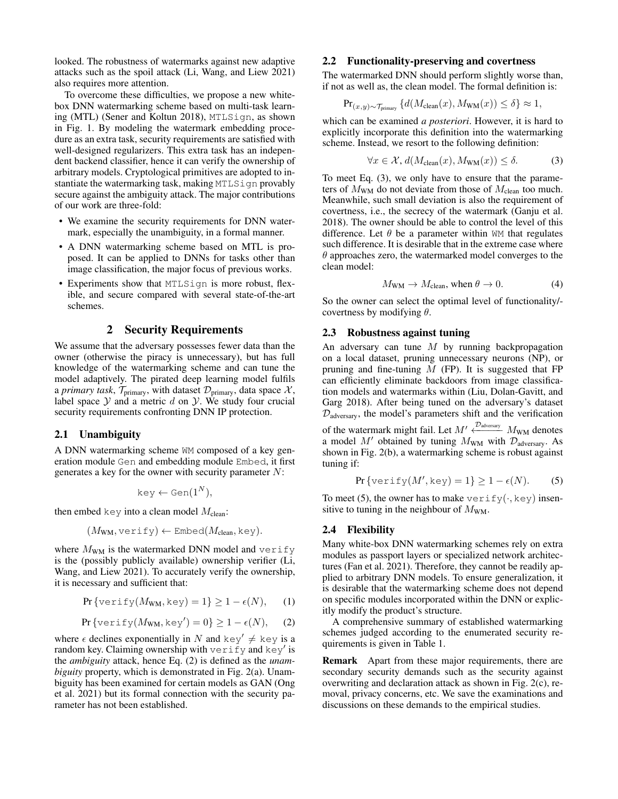looked. The robustness of watermarks against new adaptive attacks such as the spoil attack (Li, Wang, and Liew 2021) also requires more attention.

To overcome these difficulties, we propose a new whitebox DNN watermarking scheme based on multi-task learning (MTL) (Sener and Koltun 2018), MTLSign, as shown in Fig. 1. By modeling the watermark embedding procedure as an extra task, security requirements are satisfied with well-designed regularizers. This extra task has an independent backend classifier, hence it can verify the ownership of arbitrary models. Cryptological primitives are adopted to instantiate the watermarking task, making MTLSign provably secure against the ambiguity attack. The major contributions of our work are three-fold:

- We examine the security requirements for DNN watermark, especially the unambiguity, in a formal manner.
- A DNN watermarking scheme based on MTL is proposed. It can be applied to DNNs for tasks other than image classification, the major focus of previous works.
- Experiments show that MTLSign is more robust, flexible, and secure compared with several state-of-the-art schemes.

### 2 Security Requirements

We assume that the adversary possesses fewer data than the owner (otherwise the piracy is unnecessary), but has full knowledge of the watermarking scheme and can tune the model adaptively. The pirated deep learning model fulfils a *primary task*,  $\mathcal{T}_{\text{primary}}$ , with dataset  $\mathcal{D}_{\text{primary}}$ , data space  $\mathcal{X}$ , label space  $Y$  and a metric  $d$  on  $Y$ . We study four crucial security requirements confronting DNN IP protection.

## 2.1 Unambiguity

A DNN watermarking scheme WM composed of a key generation module Gen and embedding module Embed, it first generates a key for the owner with security parameter N:

$$
key \leftarrow Gen(1^N),
$$

then embed key into a clean model  $M_{\text{clean}}$ :

$$
(M_{\text{WM}}, \text{verify}) \leftarrow \text{Embed}(M_{\text{clean}}, \text{key}).
$$

where  $M_{WM}$  is the watermarked DNN model and verify is the (possibly publicly available) ownership verifier (Li, Wang, and Liew 2021). To accurately verify the ownership, it is necessary and sufficient that:

$$
\Pr\{\text{verify}(M_{\text{WM}}, \text{key}) = 1\} \ge 1 - \epsilon(N), \quad (1)
$$

$$
\Pr\{\text{verify}(M_{\text{WM}}, \text{key}') = 0\} \ge 1 - \epsilon(N), \quad (2)
$$

where  $\epsilon$  declines exponentially in N and key'  $\neq$  key is a random key. Claiming ownership with  $\mathrm{verify}$  and  $\mathrm{key}'$  is the *ambiguity* attack, hence Eq. (2) is defined as the *unambiguity* property, which is demonstrated in Fig. 2(a). Unambiguity has been examined for certain models as GAN (Ong et al. 2021) but its formal connection with the security parameter has not been established.

## 2.2 Functionality-preserving and covertness

The watermarked DNN should perform slightly worse than, if not as well as, the clean model. The formal definition is:

$$
\Pr_{(x,y)\sim \mathcal{T}_{\text{primary}}} \{ d(M_{\text{clean}}(x), M_{\text{WM}}(x)) \le \delta \} \approx 1,
$$

which can be examined *a posteriori*. However, it is hard to explicitly incorporate this definition into the watermarking scheme. Instead, we resort to the following definition:

$$
\forall x \in \mathcal{X}, d(M_{\text{clean}}(x), M_{\text{WM}}(x)) \le \delta. \tag{3}
$$

To meet Eq. (3), we only have to ensure that the parameters of  $M_{WM}$  do not deviate from those of  $M_{clean}$  too much. Meanwhile, such small deviation is also the requirement of covertness, i.e., the secrecy of the watermark (Ganju et al. 2018). The owner should be able to control the level of this difference. Let  $\theta$  be a parameter within WM that regulates such difference. It is desirable that in the extreme case where  $\theta$  approaches zero, the watermarked model converges to the clean model:

$$
M_{\text{WM}} \to M_{\text{clean}}
$$
, when  $\theta \to 0$ . (4)

So the owner can select the optimal level of functionality/ covertness by modifying  $\theta$ .

## 2.3 Robustness against tuning

An adversary can tune  $M$  by running backpropagation on a local dataset, pruning unnecessary neurons (NP), or pruning and fine-tuning  $M$  (FP). It is suggested that FP can efficiently eliminate backdoors from image classification models and watermarks within (Liu, Dolan-Gavitt, and Garg 2018). After being tuned on the adversary's dataset  $\mathcal{D}_{\text{adversary}}$ , the model's parameters shift and the verification of the watermark might fail. Let  $M' \xleftarrow{D_{\text{adversary}}} M_{\text{WM}}$  denotes a model  $M'$  obtained by tuning  $M_{WM}$  with  $\mathcal{D}_{adversary}$ . As shown in Fig. 2(b), a watermarking scheme is robust against tuning if:

$$
\Pr\{\text{verify}(M', \text{key}) = 1\} \ge 1 - \epsilon(N). \tag{5}
$$

To meet (5), the owner has to make verify( $\cdot$ , key) insensitive to tuning in the neighbour of  $M_{WM}$ .

#### 2.4 Flexibility

Many white-box DNN watermarking schemes rely on extra modules as passport layers or specialized network architectures (Fan et al. 2021). Therefore, they cannot be readily applied to arbitrary DNN models. To ensure generalization, it is desirable that the watermarking scheme does not depend on specific modules incorporated within the DNN or explicitly modify the product's structure.

A comprehensive summary of established watermarking schemes judged according to the enumerated security requirements is given in Table 1.

Remark Apart from these major requirements, there are secondary security demands such as the security against overwriting and declaration attack as shown in Fig. 2(c), removal, privacy concerns, etc. We save the examinations and discussions on these demands to the empirical studies.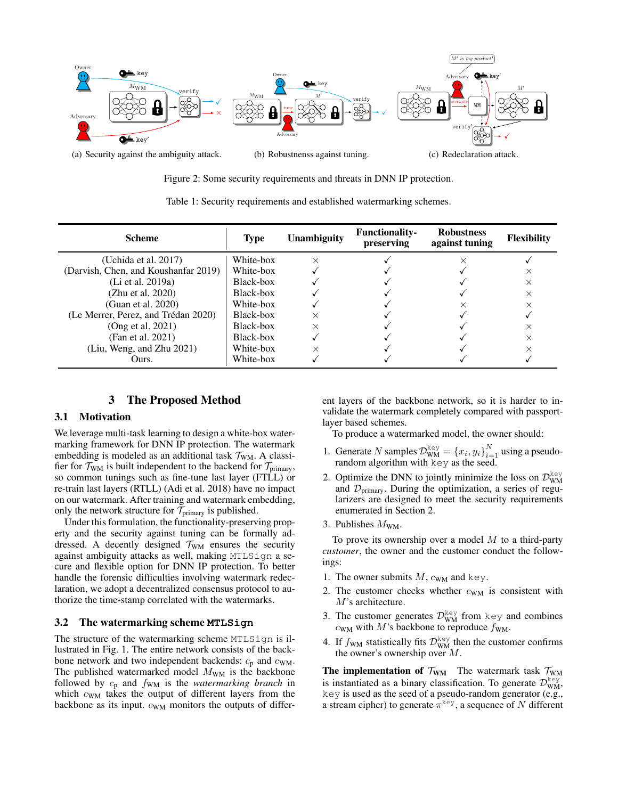

Figure 2: Some security requirements and threats in DNN IP protection.

Table 1: Security requirements and established watermarking schemes.

| <b>Scheme</b>                        | <b>Type</b> | <b>Unambiguity</b> | <b>Functionality-</b><br>preserving | <b>Robustness</b><br>against tuning | <b>Flexibility</b> |
|--------------------------------------|-------------|--------------------|-------------------------------------|-------------------------------------|--------------------|
| (Uchida et al. 2017)                 | White-box   | $\times$           |                                     |                                     |                    |
| (Darvish, Chen, and Koushanfar 2019) | White-box   |                    |                                     |                                     | ×                  |
| (Li et al. 2019a)                    | Black-box   |                    |                                     |                                     | $\times$           |
| (Zhu et al. 2020)                    | Black-box   |                    |                                     |                                     | $\times$           |
| (Guan et al. 2020)                   | White-box   |                    |                                     |                                     | ×                  |
| (Le Merrer, Perez, and Trédan 2020)  | Black-box   | $\times$           |                                     |                                     |                    |
| (Ong et al. 2021)                    | Black-box   |                    |                                     |                                     | ×                  |
| (Fan et al. 2021)                    | Black-box   |                    |                                     |                                     | X                  |
| (Liu, Weng, and Zhu 2021)            | White-box   | $\times$           |                                     |                                     |                    |
| Ours.                                | White-box   |                    |                                     |                                     |                    |

## 3 The Proposed Method

#### 3.1 Motivation

We leverage multi-task learning to design a white-box watermarking framework for DNN IP protection. The watermark embedding is modeled as an additional task  $\mathcal{T}_{WM}$ . A classifier for  $\mathcal{T}_{WM}$  is built independent to the backend for  $\mathcal{T}_{primary}$ , so common tunings such as fine-tune last layer (FTLL) or re-train last layers (RTLL) (Adi et al. 2018) have no impact on our watermark. After training and watermark embedding, only the network structure for  $\mathcal{T}_{\textrm{primary}}$  is published.

Under this formulation, the functionality-preserving property and the security against tuning can be formally addressed. A decently designed  $\mathcal{T}_{WM}$  ensures the security against ambiguity attacks as well, making MTLSign a secure and flexible option for DNN IP protection. To better handle the forensic difficulties involving watermark redeclaration, we adopt a decentralized consensus protocol to authorize the time-stamp correlated with the watermarks.

#### 3.2 The watermarking scheme **MTLSign**

The structure of the watermarking scheme MTLSign is illustrated in Fig. 1. The entire network consists of the backbone network and two independent backends:  $c_p$  and  $c_{WM}$ . The published watermarked model  $M_{WM}$  is the backbone followed by  $c_p$  and  $f_{WM}$  is the *watermarking branch* in which  $c_{WM}$  takes the output of different layers from the backbone as its input.  $c_{WM}$  monitors the outputs of different layers of the backbone network, so it is harder to invalidate the watermark completely compared with passportlayer based schemes.

To produce a watermarked model, the owner should:

- 1. Generate N samples  $\mathcal{D}_{WM}^{key} = \{x_i, y_i\}_{i=1}^N$  using a pseudorandom algorithm with key as the seed.
- 2. Optimize the DNN to jointly minimize the loss on  $\mathcal{D}_{WM}^{\text{key}}$ and  $\mathcal{D}_{\text{primary}}$ . During the optimization, a series of regularizers are designed to meet the security requirements enumerated in Section 2.
- 3. Publishes  $M_{\text{WM}}$ .

To prove its ownership over a model  $M$  to a third-party *customer*, the owner and the customer conduct the followings:

- 1. The owner submits  $M$ ,  $c_{WM}$  and key.
- 2. The customer checks whether  $c_{WM}$  is consistent with M's architecture.
- 3. The customer generates  $\mathcal{D}_{WM}^{key}$  from key and combines  $c_{WM}$  with M's backbone to reproduce  $f_{WM}$ .
- 4. If  $f_{WM}$  statistically fits  $\mathcal{D}_{WM}^{\text{key}}$  then the customer confirms the owner's ownership over M.

The implementation of  $\mathcal{T}_{WM}$  The watermark task  $\mathcal{T}_{WM}$ is instantiated as a binary classification. To generate  $\mathcal{D}_{WM}^{key}$ , key is used as the seed of a pseudo-random generator (e.g., a stream cipher) to generate  $\pi^{\text{key}}$ , a sequence of N different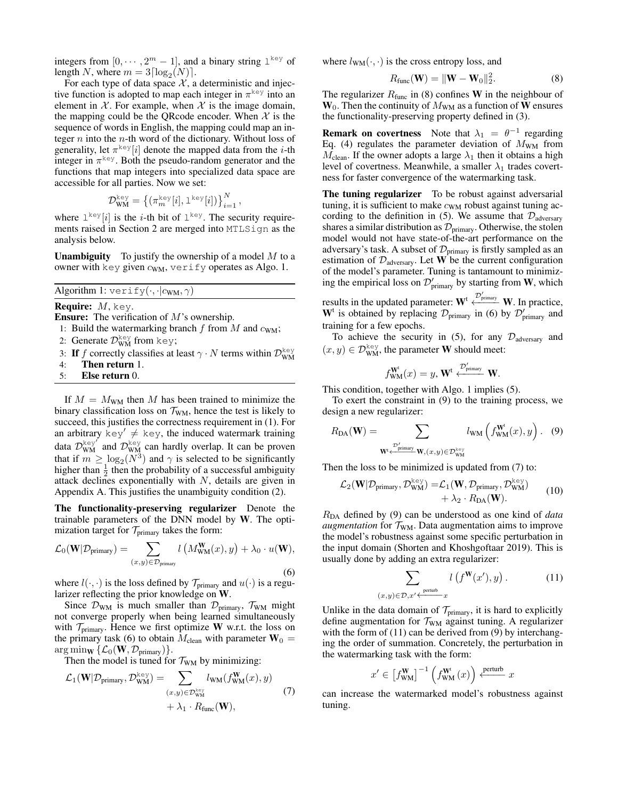integers from  $[0, \dots, 2^m - 1]$ , and a binary string  $1^{key}$  of length N, where  $m = 3 \lceil \log_2(N) \rceil$ .

For each type of data space  $X$ , a deterministic and injective function is adopted to map each integer in  $\pi^{\text{key}}$  into an element in  $X$ . For example, when X is the image domain, the mapping could be the QRcode encoder. When  $\mathcal X$  is the sequence of words in English, the mapping could map an integer  $n$  into the  $n$ -th word of the dictionary. Without loss of generality, let  $\pi^{\text{key}}[i]$  denote the mapped data from the *i*-th integer in  $\pi^{\text{key}}$ . Both the pseudo-random generator and the functions that map integers into specialized data space are accessible for all parties. Now we set:

$$
\mathcal{D}_{\text{WM}}^{\text{key}} = \left\{ \left( \pi^{\text{key}}_m[i], \mathbf{1}^{\text{key}}[i] \right) \right\}_{i=1}^N,
$$

where  $1^{key}[i]$  is the *i*-th bit of  $1^{key}$ . The security requirements raised in Section 2 are merged into MTLSign as the analysis below.

**Unambiguity** To justify the ownership of a model  $M$  to a owner with key given  $c_{WM}$ , verify operates as Algo. 1.

Algorithm 1:  $\text{verify}(\cdot, \cdot|c_{\text{WM}}, \gamma)$ 

**Require:**  $M$ , key.

- Ensure: The verification of M's ownership.
- 1: Build the watermarking branch f from M and  $c_{WM}$ ;
- 2: Generate  $\mathcal{D}_{WM}^{key}$  from key;
- 3: If f correctly classifies at least  $\gamma \cdot N$  terms within  $\mathcal{D}_{WM}^{\text{key}}$
- 4: Then return 1.
- 5: Else return 0.

If  $M = M_{WM}$  then M has been trained to minimize the binary classification loss on  $\mathcal{T}_{WM}$ , hence the test is likely to succeed, this justifies the correctness requirement in (1). For an arbitrary  $key' \neq key$ , the induced watermark training data  $\mathcal{D}_{WM}^{key}$  and  $\mathcal{D}_{WM}^{key}$  can hardly overlap. It can be proven that if  $m \ge \log_2(N^3)$  and  $\gamma$  is selected to be significantly higher than  $\frac{1}{2}$  then the probability of a successful ambiguity attack declines exponentially with  $N$ , details are given in Appendix A. This justifies the unambiguity condition (2).

The functionality-preserving regularizer Denote the trainable parameters of the DNN model by W. The optimization target for  $\mathcal{T}_{\text{primary}}$  takes the form:

$$
\mathcal{L}_0(\mathbf{W}|\mathcal{D}_{\text{primary}}) = \sum_{(x,y)\in\mathcal{D}_{\text{primary}}} l\left(M_{\text{WM}}^{\mathbf{W}}(x), y\right) + \lambda_0 \cdot u(\mathbf{W}),\tag{6}
$$

where  $l(\cdot, \cdot)$  is the loss defined by  $\mathcal{T}_{\text{primary}}$  and  $u(\cdot)$  is a regularizer reflecting the prior knowledge on W.

Since  $\mathcal{D}_{WM}$  is much smaller than  $\mathcal{D}_{primary}$ ,  $\mathcal{T}_{WM}$  might not converge properly when being learned simultaneously with  $\mathcal{T}_{\text{primary}}$ . Hence we first optimize W w.r.t. the loss on the primary task (6) to obtain  $M_{clean}$  with parameter  $W_0$  = arg min $_{\mathbf{W}}\{\mathcal{L}_0(\mathbf{W}, \mathcal{D}_{\text{primary}})\}.$ 

Then the model is tuned for  $\mathcal{T}_{WM}$  by minimizing:

$$
\mathcal{L}_1(\mathbf{W}|\mathcal{D}_{\text{primary}}, \mathcal{D}_{\text{WM}}^{\text{key}}) = \sum_{(x,y)\in\mathcal{D}_{\text{WM}}^{\text{key}}} l_{\text{WM}}(f_{\text{WM}}^{\mathbf{W}}(x), y) + \lambda_1 \cdot R_{\text{func}}(\mathbf{W}),
$$
\n(7)

where  $l_{WM}(\cdot, \cdot)$  is the cross entropy loss, and

$$
R_{\text{func}}(\mathbf{W}) = \|\mathbf{W} - \mathbf{W}_0\|_2^2.
$$
 (8)

The regularizer  $R_{func}$  in (8) confines W in the neighbour of  $W_0$ . Then the continuity of  $M_{WM}$  as a function of W ensures the functionality-preserving property defined in (3).

**Remark on covertness** Note that  $\lambda_1 = \theta^{-1}$  regarding Eq. (4) regulates the parameter deviation of  $M_{\text{WM}}$  from  $M_{\text{clean}}$ . If the owner adopts a large  $\lambda_1$  then it obtains a high level of covertness. Meanwhile, a smaller  $\lambda_1$  trades covertness for faster convergence of the watermarking task.

The tuning regularizer To be robust against adversarial tuning, it is sufficient to make  $c_{WM}$  robust against tuning according to the definition in (5). We assume that  $\mathcal{D}_{\text{adversary}}$ shares a similar distribution as  $\mathcal{D}_{\text{primary}}$ . Otherwise, the stolen model would not have state-of-the-art performance on the adversary's task. A subset of  $\mathcal{D}_{\text{primary}}$  is firstly sampled as an estimation of  $\mathcal{D}_{\text{adversary}}$ . Let **W** be the current configuration of the model's parameter. Tuning is tantamount to minimizing the empirical loss on  $\mathcal{D}'_{\text{primary}}$  by starting from W, which

results in the updated parameter:  $W^t \stackrel{\mathcal{D}'_{\text{primary}}}{\longleftarrow} W$ . In practice,  $W^t$  is obtained by replacing  $\mathcal{D}_{\text{primary}}$  in (6) by  $\mathcal{D}'_{\text{primary}}$  and training for a few epochs.

To achieve the security in (5), for any  $\mathcal{D}_{\text{adversary}}$  and  $(x, y) \in \mathcal{D}_{\text{WM}}^{\text{key}}$ , the parameter **W** should meet:

$$
f_{WM}^{\mathbf{W}^{\mathbf{t}}}(x) = y, \mathbf{W}^{\mathbf{t}} \xleftarrow{\mathcal{D}'_{\text{primary}}}\mathbf{W}.
$$

This condition, together with Algo. 1 implies (5).

To exert the constraint in (9) to the training process, we design a new regularizer:

$$
R_{\text{DA}}(\mathbf{W}) = \sum_{\substack{\mathcal{D}'_{\text{primary}} \\ \mathbf{W}' \leftarrow \text{primary}}} l_{\text{WM}}\left(f_{\text{WM}}^{\mathbf{W}^{\text{t}}}(x), y\right). \quad (9)
$$

Then the loss to be minimized is updated from (7) to:

$$
\mathcal{L}_2(\mathbf{W}|\mathcal{D}_{\text{primary}}, \mathcal{D}_{\text{WM}}^{\text{key}}) = \mathcal{L}_1(\mathbf{W}, \mathcal{D}_{\text{primary}}, \mathcal{D}_{\text{WM}}^{\text{key}}) + \lambda_2 \cdot R_{\text{DA}}(\mathbf{W}).
$$
 (10)

RDA defined by (9) can be understood as one kind of *data augmentation* for  $\mathcal{T}_{WM}$ . Data augmentation aims to improve the model's robustness against some specific perturbation in the input domain (Shorten and Khoshgoftaar 2019). This is usually done by adding an extra regularizer:

$$
\sum_{(x,y)\in\mathcal{D}, x'\leftarrow \frac{\text{perturb}}{x}} l\left(f^{\mathbf{W}}(x'), y\right). \tag{11}
$$

Unlike in the data domain of  $\mathcal{T}_{\text{primary}}$ , it is hard to explicitly define augmentation for  $\mathcal{T}_{WM}$  against tuning. A regularizer with the form of (11) can be derived from (9) by interchanging the order of summation. Concretely, the perturbation in the watermarking task with the form:

$$
x' \in \left[f_{\text{WM}}^{\text{W}}\right]^{-1} \left(f_{\text{WM}}^{\text{W}^{\text{t}}} \left(x\right)\right) \xleftarrow{\text{perturb}} x
$$

can increase the watermarked model's robustness against tuning.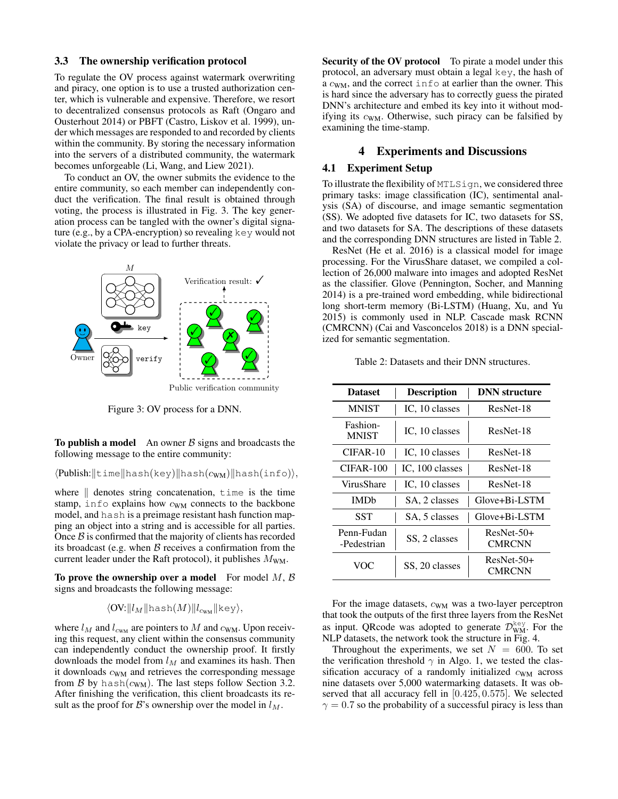#### 3.3 The ownership verification protocol

To regulate the OV process against watermark overwriting and piracy, one option is to use a trusted authorization center, which is vulnerable and expensive. Therefore, we resort to decentralized consensus protocols as Raft (Ongaro and Ousterhout 2014) or PBFT (Castro, Liskov et al. 1999), under which messages are responded to and recorded by clients within the community. By storing the necessary information into the servers of a distributed community, the watermark becomes unforgeable (Li, Wang, and Liew 2021).

To conduct an OV, the owner submits the evidence to the entire community, so each member can independently conduct the verification. The final result is obtained through voting, the process is illustrated in Fig. 3. The key generation process can be tangled with the owner's digital signature (e.g., by a CPA-encryption) so revealing key would not violate the privacy or lead to further threats.



Figure 3: OV process for a DNN.

To publish a model An owner  $\beta$  signs and broadcasts the following message to the entire community:

 $\langle \text{Published:}||\text{time}||\text{hash(key)}||\text{hash(c_{WM})}||\text{hash(info)}\rangle,$ 

where  $\parallel$  denotes string concatenation, time is the time stamp, info explains how  $c_{WM}$  connects to the backbone model, and hash is a preimage resistant hash function mapping an object into a string and is accessible for all parties. Once  $\beta$  is confirmed that the majority of clients has recorded its broadcast (e.g. when  $\beta$  receives a confirmation from the current leader under the Raft protocol), it publishes  $M_{WM}$ .

To prove the ownership over a model For model  $M, B$ signs and broadcasts the following message:

$$
\langle \text{OV:} || l_M || \text{hash}(M) || l_{\text{c}_{\text{WM}}} || \text{key} \rangle,
$$

where  $l_M$  and  $l_{c_{WM}}$  are pointers to M and  $c_{WM}$ . Upon receiving this request, any client within the consensus community can independently conduct the ownership proof. It firstly downloads the model from  $l_M$  and examines its hash. Then it downloads  $c_{WM}$  and retrieves the corresponding message from  $\beta$  by hash( $c_{WM}$ ). The last steps follow Section 3.2. After finishing the verification, this client broadcasts its result as the proof for B's ownership over the model in  $l_M$ .

Security of the OV protocol To pirate a model under this protocol, an adversary must obtain a legal key, the hash of a  $c_{WM}$ , and the correct info at earlier than the owner. This is hard since the adversary has to correctly guess the pirated DNN's architecture and embed its key into it without modifying its  $c_{WM}$ . Otherwise, such piracy can be falsified by examining the time-stamp.

### 4 Experiments and Discussions

#### 4.1 Experiment Setup

To illustrate the flexibility of MTLSign, we considered three primary tasks: image classification (IC), sentimental analysis (SA) of discourse, and image semantic segmentation (SS). We adopted five datasets for IC, two datasets for SS, and two datasets for SA. The descriptions of these datasets and the corresponding DNN structures are listed in Table 2.

ResNet (He et al. 2016) is a classical model for image processing. For the VirusShare dataset, we compiled a collection of 26,000 malware into images and adopted ResNet as the classifier. Glove (Pennington, Socher, and Manning 2014) is a pre-trained word embedding, while bidirectional long short-term memory (Bi-LSTM) (Huang, Xu, and Yu 2015) is commonly used in NLP. Cascade mask RCNN (CMRCNN) (Cai and Vasconcelos 2018) is a DNN specialized for semantic segmentation.

Table 2: Datasets and their DNN structures.

| <b>Dataset</b>            | <b>Description</b> | <b>DNN</b> structure   |  |
|---------------------------|--------------------|------------------------|--|
| <b>MNIST</b>              | IC, 10 classes     | ResNet-18              |  |
| Fashion-<br><b>MNIST</b>  | IC, 10 classes     | ResNet-18              |  |
| CIFAR-10                  | IC, 10 classes     | ResNet-18              |  |
| CIFAR-100                 | IC, 100 classes    | ResNet-18              |  |
| VirusShare                | IC, 10 classes     | ResNet-18              |  |
| <b>IMDh</b>               | SA, 2 classes      | Glove+Bi-LSTM          |  |
| SST                       | SA, 5 classes      | Glove+Bi-LSTM          |  |
| Penn-Fudan<br>-Pedestrian | SS, 2 classes      | $ResNet-50+$<br>CMRCNN |  |
| VOC                       | SS, 20 classes     | $ResNet-50+$<br>CMRCNN |  |

For the image datasets,  $c_{WM}$  was a two-layer perceptron that took the outputs of the first three layers from the ResNet as input. QRcode was adopted to generate  $\mathcal{D}_{WM}^{key}$ . For the NLP datasets, the network took the structure in Fig. 4.

Throughout the experiments, we set  $N = 600$ . To set the verification threshold  $\gamma$  in Algo. 1, we tested the classification accuracy of a randomly initialized  $c_{WM}$  across nine datasets over 5,000 watermarking datasets. It was observed that all accuracy fell in [0.425, 0.575]. We selected  $\gamma = 0.7$  so the probability of a successful piracy is less than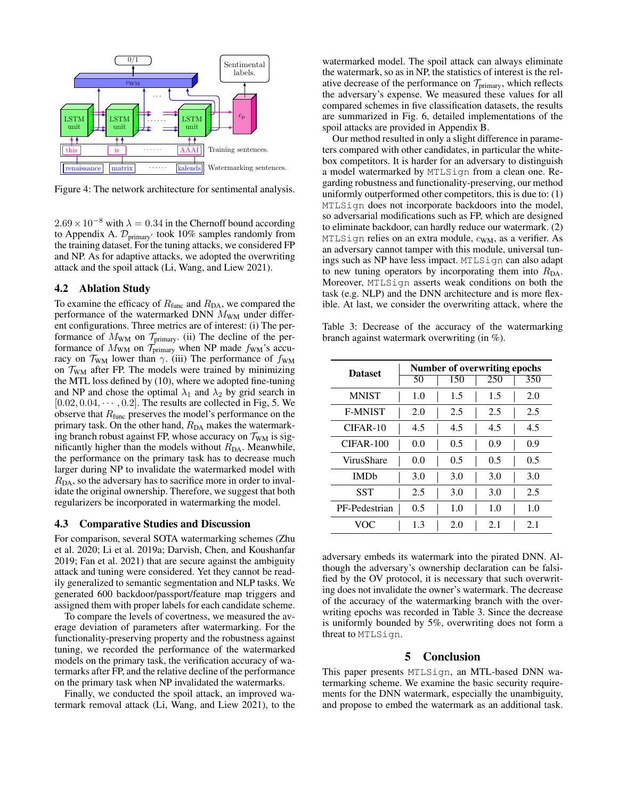

Figure 4: The network architecture for sentimental analysis.

 $2.69 \times 10^{-8}$  with  $\lambda = 0.34$  in the Chernoff bound according to Appendix A.  $\mathcal{D}_{\text{primary}'}$  took 10% samples randomly from the training dataset. For the tuning attacks, we considered FP and NP. As for adaptive attacks, we adopted the overwriting attack and the spoil attack (Li, Wang, and Liew 2021).

#### 4.2 Ablation Study

To examine the efficacy of  $R_{func}$  and  $R_{DA}$ , we compared the performance of the watermarked DNN  $M_{\text{WM}}$  under different configurations. Three metrics are of interest: (i) The performance of  $M_{WM}$  on  $\mathcal{T}_{primary}$ . (ii) The decline of the performance of  $M_{WM}$  on  $\mathcal{T}_{primary}$  when NP made  $f_{WM}$ 's accuracy on  $\mathcal{T}_{WM}$  lower than  $\gamma$ . (iii) The performance of  $f_{WM}$ on  $\mathcal{T}_{WM}$  after FP. The models were trained by minimizing the MTL loss defined by (10), where we adopted fine-tuning and NP and chose the optimal  $\lambda_1$  and  $\lambda_2$  by grid search in  $[0.02, 0.04, \cdots, 0.2]$ . The results are collected in Fig. 5. We observe that  $R_{func}$  preserves the model's performance on the primary task. On the other hand,  $R_{DA}$  makes the watermarking branch robust against FP, whose accuracy on  $\mathcal{T}_{WM}$  is significantly higher than the models without  $R_{DA}$ . Meanwhile, the performance on the primary task has to decrease much larger during NP to invalidate the watermarked model with  $R<sub>DA</sub>$ , so the adversary has to sacrifice more in order to invalidate the original ownership. Therefore, we suggest that both regularizers be incorporated in watermarking the model.

#### 4.3 Comparative Studies and Discussion

For comparison, several SOTA watermarking schemes (Zhu et al. 2020; Li et al. 2019a; Darvish, Chen, and Koushanfar 2019; Fan et al. 2021) that are secure against the ambiguity attack and tuning were considered. Yet they cannot be readily generalized to semantic segmentation and NLP tasks. We generated 600 backdoor/passport/feature map triggers and assigned them with proper labels for each candidate scheme.

To compare the levels of covertness, we measured the average deviation of parameters after watermarking. For the functionality-preserving property and the robustness against tuning, we recorded the performance of the watermarked models on the primary task, the verification accuracy of watermarks after FP, and the relative decline of the performance on the primary task when NP invalidated the watermarks.

Finally, we conducted the spoil attack, an improved watermark removal attack (Li, Wang, and Liew 2021), to the

watermarked model. The spoil attack can always eliminate the watermark, so as in NP, the statistics of interest is the relative decrease of the performance on  $\mathcal{T}_{\text{primary}}$ , which reflects the adversary's expense. We measured these values for all compared schemes in five classification datasets, the results are summarized in Fig. 6, detailed implementations of the spoil attacks are provided in Appendix B.

Our method resulted in only a slight difference in parameters compared with other candidates, in particular the whitebox competitors. It is harder for an adversary to distinguish a model watermarked by MTLSign from a clean one. Regarding robustness and functionality-preserving, our method uniformly outperformed other competitors, this is due to: (1) MTLSign does not incorporate backdoors into the model, so adversarial modifications such as FP, which are designed to eliminate backdoor, can hardly reduce our watermark. (2) MTLSign relies on an extra module,  $c_{WM}$ , as a verifier. As an adversary cannot tamper with this module, universal tunings such as NP have less impact. MTLSign can also adapt to new tuning operators by incorporating them into  $R_{DA}$ . Moreover, MTLSign asserts weak conditions on both the task (e.g. NLP) and the DNN architecture and is more flexible. At last, we consider the overwriting attack, where the

Table 3: Decrease of the accuracy of the watermarking branch against watermark overwriting (in %).

| <b>Dataset</b>         | Number of overwriting epochs |     |     |     |  |  |
|------------------------|------------------------------|-----|-----|-----|--|--|
|                        | 50                           | 150 | 250 | 350 |  |  |
| <b>MNIST</b>           | 1.0                          | 1.5 | 1.5 | 2.0 |  |  |
| <b>F-MNIST</b>         | 2.0                          | 2.5 | 2.5 | 2.5 |  |  |
| CIFAR-10               | 4.5                          | 4.5 | 4.5 | 4.5 |  |  |
| $CIFAR-100$            | 0.0                          | 0.5 | 0.9 | 0.9 |  |  |
| VirusShare             | 0.0                          | 0.5 | 0.5 | 0.5 |  |  |
| <b>IMD<sub>b</sub></b> | 3.0                          | 3.0 | 3.0 | 3.0 |  |  |
| SST                    | 2.5                          | 3.0 | 3.0 | 2.5 |  |  |
| PF-Pedestrian          | 0.5                          | 1.0 | 1.0 | 1.0 |  |  |
| VOC                    | 1.3                          | 2.0 | 2.1 | 2.1 |  |  |

adversary embeds its watermark into the pirated DNN. Although the adversary's ownership declaration can be falsified by the OV protocol, it is necessary that such overwriting does not invalidate the owner's watermark. The decrease of the accuracy of the watermarking branch with the overwriting epochs was recorded in Table 3. Since the decrease is uniformly bounded by 5%, overwriting does not form a threat to MTLSign.

#### 5 Conclusion

This paper presents MTLSign, an MTL-based DNN watermarking scheme. We examine the basic security requirements for the DNN watermark, especially the unambiguity, and propose to embed the watermark as an additional task.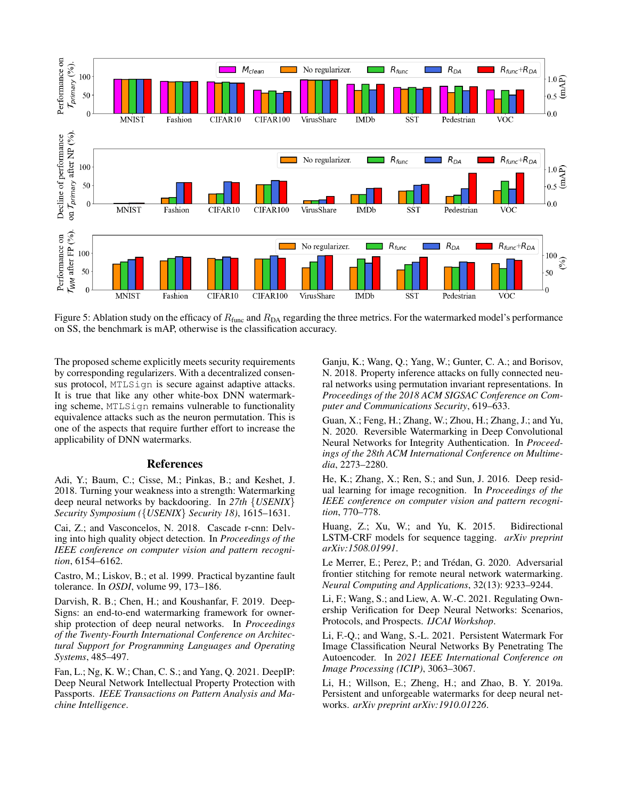

Figure 5: Ablation study on the efficacy of  $R_{func}$  and  $R_{DA}$  regarding the three metrics. For the watermarked model's performance on SS, the benchmark is mAP, otherwise is the classification accuracy.

The proposed scheme explicitly meets security requirements by corresponding regularizers. With a decentralized consensus protocol, MTLSign is secure against adaptive attacks. It is true that like any other white-box DNN watermarking scheme, MTLSign remains vulnerable to functionality equivalence attacks such as the neuron permutation. This is one of the aspects that require further effort to increase the applicability of DNN watermarks.

#### References

Adi, Y.; Baum, C.; Cisse, M.; Pinkas, B.; and Keshet, J. 2018. Turning your weakness into a strength: Watermarking deep neural networks by backdooring. In *27th* {*USENIX*} *Security Symposium (*{*USENIX*} *Security 18)*, 1615–1631.

Cai, Z.; and Vasconcelos, N. 2018. Cascade r-cnn: Delving into high quality object detection. In *Proceedings of the IEEE conference on computer vision and pattern recognition*, 6154–6162.

Castro, M.; Liskov, B.; et al. 1999. Practical byzantine fault tolerance. In *OSDI*, volume 99, 173–186.

Darvish, R. B.; Chen, H.; and Koushanfar, F. 2019. Deep-Signs: an end-to-end watermarking framework for ownership protection of deep neural networks. In *Proceedings of the Twenty-Fourth International Conference on Architectural Support for Programming Languages and Operating Systems*, 485–497.

Fan, L.; Ng, K. W.; Chan, C. S.; and Yang, Q. 2021. DeepIP: Deep Neural Network Intellectual Property Protection with Passports. *IEEE Transactions on Pattern Analysis and Machine Intelligence*.

Ganju, K.; Wang, Q.; Yang, W.; Gunter, C. A.; and Borisov, N. 2018. Property inference attacks on fully connected neural networks using permutation invariant representations. In *Proceedings of the 2018 ACM SIGSAC Conference on Computer and Communications Security*, 619–633.

Guan, X.; Feng, H.; Zhang, W.; Zhou, H.; Zhang, J.; and Yu, N. 2020. Reversible Watermarking in Deep Convolutional Neural Networks for Integrity Authentication. In *Proceedings of the 28th ACM International Conference on Multimedia*, 2273–2280.

He, K.; Zhang, X.; Ren, S.; and Sun, J. 2016. Deep residual learning for image recognition. In *Proceedings of the IEEE conference on computer vision and pattern recognition*, 770–778.

Huang, Z.; Xu, W.; and Yu, K. 2015. Bidirectional LSTM-CRF models for sequence tagging. *arXiv preprint arXiv:1508.01991*.

Le Merrer, E.; Perez, P.; and Trédan, G. 2020. Adversarial frontier stitching for remote neural network watermarking. *Neural Computing and Applications*, 32(13): 9233–9244.

Li, F.; Wang, S.; and Liew, A. W.-C. 2021. Regulating Ownership Verification for Deep Neural Networks: Scenarios, Protocols, and Prospects. *IJCAI Workshop*.

Li, F.-Q.; and Wang, S.-L. 2021. Persistent Watermark For Image Classification Neural Networks By Penetrating The Autoencoder. In *2021 IEEE International Conference on Image Processing (ICIP)*, 3063–3067.

Li, H.; Willson, E.; Zheng, H.; and Zhao, B. Y. 2019a. Persistent and unforgeable watermarks for deep neural networks. *arXiv preprint arXiv:1910.01226*.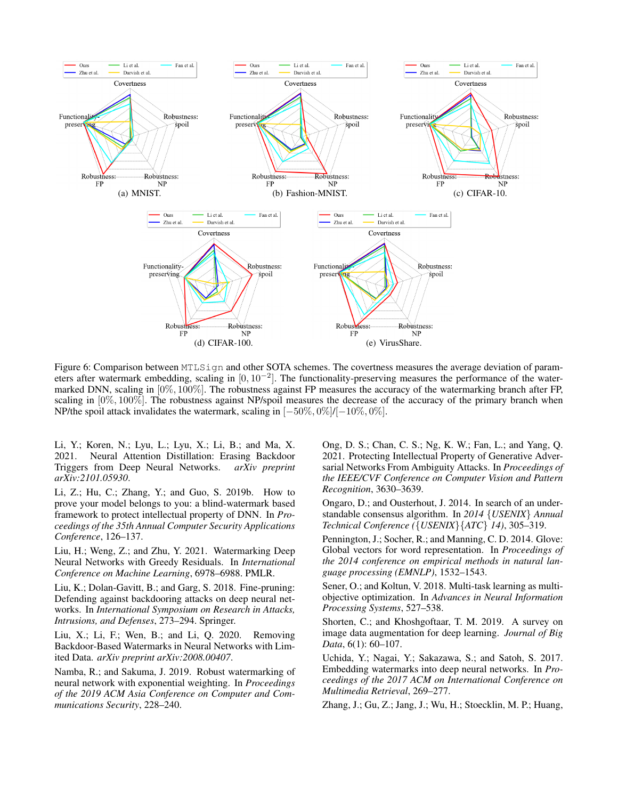

Figure 6: Comparison between MTLSign and other SOTA schemes. The covertness measures the average deviation of parameters after watermark embedding, scaling in  $[0, 10^{-2}]$ . The functionality-preserving measures the performance of the watermarked DNN, scaling in [0%, 100%]. The robustness against FP measures the accuracy of the watermarking branch after FP, scaling in  $[0\%, 100\%]$ . The robustness against NP/spoil measures the decrease of the accuracy of the primary branch when NP/the spoil attack invalidates the watermark, scaling in [−50%, 0%]/[−10%, 0%].

Li, Y.; Koren, N.; Lyu, L.; Lyu, X.; Li, B.; and Ma, X. 2021. Neural Attention Distillation: Erasing Backdoor Triggers from Deep Neural Networks. *arXiv preprint arXiv:2101.05930*.

Li, Z.; Hu, C.; Zhang, Y.; and Guo, S. 2019b. How to prove your model belongs to you: a blind-watermark based framework to protect intellectual property of DNN. In *Proceedings of the 35th Annual Computer Security Applications Conference*, 126–137.

Liu, H.; Weng, Z.; and Zhu, Y. 2021. Watermarking Deep Neural Networks with Greedy Residuals. In *International Conference on Machine Learning*, 6978–6988. PMLR.

Liu, K.; Dolan-Gavitt, B.; and Garg, S. 2018. Fine-pruning: Defending against backdooring attacks on deep neural networks. In *International Symposium on Research in Attacks, Intrusions, and Defenses*, 273–294. Springer.

Liu, X.; Li, F.; Wen, B.; and Li, Q. 2020. Removing Backdoor-Based Watermarks in Neural Networks with Limited Data. *arXiv preprint arXiv:2008.00407*.

Namba, R.; and Sakuma, J. 2019. Robust watermarking of neural network with exponential weighting. In *Proceedings of the 2019 ACM Asia Conference on Computer and Communications Security*, 228–240.

Ong, D. S.; Chan, C. S.; Ng, K. W.; Fan, L.; and Yang, Q. 2021. Protecting Intellectual Property of Generative Adversarial Networks From Ambiguity Attacks. In *Proceedings of the IEEE/CVF Conference on Computer Vision and Pattern Recognition*, 3630–3639.

Ongaro, D.; and Ousterhout, J. 2014. In search of an understandable consensus algorithm. In *2014* {*USENIX*} *Annual Technical Conference (*{*USENIX*}{*ATC*} *14)*, 305–319.

Pennington, J.; Socher, R.; and Manning, C. D. 2014. Glove: Global vectors for word representation. In *Proceedings of the 2014 conference on empirical methods in natural language processing (EMNLP)*, 1532–1543.

Sener, O.; and Koltun, V. 2018. Multi-task learning as multiobjective optimization. In *Advances in Neural Information Processing Systems*, 527–538.

Shorten, C.; and Khoshgoftaar, T. M. 2019. A survey on image data augmentation for deep learning. *Journal of Big Data*, 6(1): 60–107.

Uchida, Y.; Nagai, Y.; Sakazawa, S.; and Satoh, S. 2017. Embedding watermarks into deep neural networks. In *Proceedings of the 2017 ACM on International Conference on Multimedia Retrieval*, 269–277.

Zhang, J.; Gu, Z.; Jang, J.; Wu, H.; Stoecklin, M. P.; Huang,